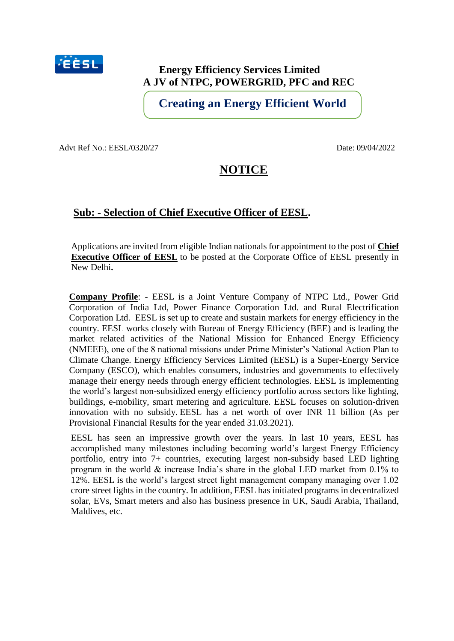

# **Energy Efficiency Services Limited A JV of NTPC, POWERGRID, PFC and REC**

**Creating an Energy Efficient World**

Advt Ref No.: EESL/0320/27 Date: 09/04/2022

# **NOTICE**

# **Sub: - Selection of Chief Executive Officer of EESL.**

Applications are invited from eligible Indian nationals for appointment to the post of **Chief Executive Officer of EESL** to be posted at the Corporate Office of EESL presently in New Delhi**.**

**Company Profile**: - EESL is a Joint Venture Company of NTPC Ltd., Power Grid Corporation of India Ltd, Power Finance Corporation Ltd. and Rural Electrification Corporation Ltd. EESL is set up to create and sustain markets for energy efficiency in the country. EESL works closely with Bureau of Energy Efficiency (BEE) and is leading the market related activities of the National Mission for Enhanced Energy Efficiency (NMEEE), one of the 8 national missions under Prime Minister's National Action Plan to Climate Change. Energy Efficiency Services Limited (EESL) is a Super-Energy Service Company (ESCO), which enables consumers, industries and governments to effectively manage their energy needs through energy efficient technologies. EESL is implementing the world's largest non-subsidized energy efficiency portfolio across sectors like lighting, buildings, e-mobility, smart metering and agriculture. EESL focuses on solution-driven innovation with no subsidy. EESL has a net worth of over INR 11 billion (As per Provisional Financial Results for the year ended 31.03.2021).

EESL has seen an impressive growth over the years. In last 10 years, EESL has accomplished many milestones including becoming world's largest Energy Efficiency portfolio, entry into 7+ countries, executing largest non-subsidy based LED lighting program in the world & increase India's share in the global LED market from 0.1% to 12%. EESL is the world's largest street light management company managing over 1.02 crore street lights in the country. In addition, EESL has initiated programs in decentralized solar, EVs, Smart meters and also has business presence in UK, Saudi Arabia, Thailand, Maldives, etc.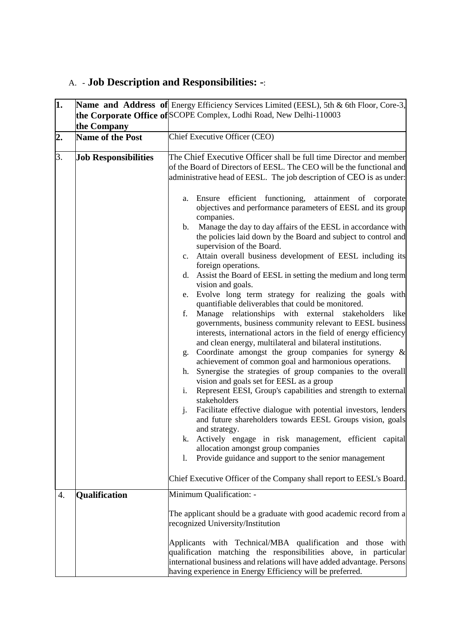# A. - **Job Description and Responsibilities: -**:

| 1.               |                             | Name and Address of Energy Efficiency Services Limited (EESL), 5th & 6th Floor, Core-3,                            |  |  |  |  |
|------------------|-----------------------------|--------------------------------------------------------------------------------------------------------------------|--|--|--|--|
|                  |                             | the Corporate Office of SCOPE Complex, Lodhi Road, New Delhi-110003                                                |  |  |  |  |
|                  | the Company                 |                                                                                                                    |  |  |  |  |
| $\overline{2}$ . | <b>Name of the Post</b>     | Chief Executive Officer (CEO)                                                                                      |  |  |  |  |
| 3.               |                             | The Chief Executive Officer shall be full time Director and member                                                 |  |  |  |  |
|                  | <b>Job Responsibilities</b> | of the Board of Directors of EESL. The CEO will be the functional and                                              |  |  |  |  |
|                  |                             | administrative head of EESL. The job description of CEO is as under:                                               |  |  |  |  |
|                  |                             |                                                                                                                    |  |  |  |  |
|                  |                             | Ensure efficient functioning, attainment of<br>corporate<br>a.                                                     |  |  |  |  |
|                  |                             | objectives and performance parameters of EESL and its group                                                        |  |  |  |  |
|                  |                             | companies.                                                                                                         |  |  |  |  |
|                  |                             | Manage the day to day affairs of the EESL in accordance with<br>b.                                                 |  |  |  |  |
|                  |                             | the policies laid down by the Board and subject to control and                                                     |  |  |  |  |
|                  |                             | supervision of the Board.                                                                                          |  |  |  |  |
|                  |                             | c. Attain overall business development of EESL including its<br>foreign operations.                                |  |  |  |  |
|                  |                             | d. Assist the Board of EESL in setting the medium and long term                                                    |  |  |  |  |
|                  |                             | vision and goals.                                                                                                  |  |  |  |  |
|                  |                             | Evolve long term strategy for realizing the goals with<br>e.                                                       |  |  |  |  |
|                  |                             | quantifiable deliverables that could be monitored.                                                                 |  |  |  |  |
|                  |                             | Manage relationships with external stakeholders<br>f.<br>like                                                      |  |  |  |  |
|                  |                             | governments, business community relevant to EESL business                                                          |  |  |  |  |
|                  |                             | interests, international actors in the field of energy efficiency                                                  |  |  |  |  |
|                  |                             | and clean energy, multilateral and bilateral institutions.<br>Coordinate amongst the group companies for synergy & |  |  |  |  |
|                  |                             | g.<br>achievement of common goal and harmonious operations.                                                        |  |  |  |  |
|                  |                             | Synergise the strategies of group companies to the overall<br>h.                                                   |  |  |  |  |
|                  |                             | vision and goals set for EESL as a group                                                                           |  |  |  |  |
|                  |                             | Represent EESI, Group's capabilities and strength to external<br>i.                                                |  |  |  |  |
|                  |                             | stakeholders                                                                                                       |  |  |  |  |
|                  |                             | Facilitate effective dialogue with potential investors, lenders<br>j.                                              |  |  |  |  |
|                  |                             | and future shareholders towards EESL Groups vision, goals                                                          |  |  |  |  |
|                  |                             | and strategy.<br>k. Actively engage in risk management, efficient capital                                          |  |  |  |  |
|                  |                             | allocation amongst group companies                                                                                 |  |  |  |  |
|                  |                             | Provide guidance and support to the senior management<br>1.                                                        |  |  |  |  |
|                  |                             |                                                                                                                    |  |  |  |  |
|                  |                             | Chief Executive Officer of the Company shall report to EESL's Board.                                               |  |  |  |  |
| 4.               | <b>Qualification</b>        | Minimum Qualification: -                                                                                           |  |  |  |  |
|                  |                             |                                                                                                                    |  |  |  |  |
|                  |                             | The applicant should be a graduate with good academic record from a<br>recognized University/Institution           |  |  |  |  |
|                  |                             |                                                                                                                    |  |  |  |  |
|                  |                             | Applicants with Technical/MBA qualification and those with                                                         |  |  |  |  |
|                  |                             | qualification matching the responsibilities above, in particular                                                   |  |  |  |  |
|                  |                             | international business and relations will have added advantage. Persons                                            |  |  |  |  |
|                  |                             | having experience in Energy Efficiency will be preferred.                                                          |  |  |  |  |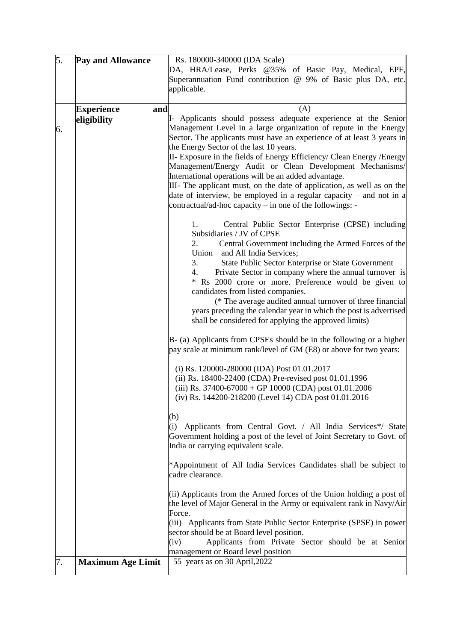| 5. | Pay and Allowance        | Rs. 180000-340000 (IDA Scale)                                                                                                                   |
|----|--------------------------|-------------------------------------------------------------------------------------------------------------------------------------------------|
|    |                          | DA, HRA/Lease, Perks @35% of Basic Pay, Medical, EPF,                                                                                           |
|    |                          | Superannuation Fund contribution @ 9% of Basic plus DA, etc.                                                                                    |
|    |                          | applicable.                                                                                                                                     |
|    |                          |                                                                                                                                                 |
|    | <b>Experience</b><br>and | (A)                                                                                                                                             |
|    | eligibility              | I- Applicants should possess adequate experience at the Senior                                                                                  |
| 6. |                          | Management Level in a large organization of repute in the Energy                                                                                |
|    |                          | Sector. The applicants must have an experience of at least 3 years in                                                                           |
|    |                          | the Energy Sector of the last 10 years.                                                                                                         |
|    |                          | II- Exposure in the fields of Energy Efficiency/ Clean Energy / Energy                                                                          |
|    |                          | Management/Energy Audit or Clean Development Mechanisms/                                                                                        |
|    |                          | International operations will be an added advantage.                                                                                            |
|    |                          | III- The applicant must, on the date of application, as well as on the<br>date of interview, be employed in a regular capacity $-$ and not in a |
|    |                          | contractual/ad-hoc capacity – in one of the followings: -                                                                                       |
|    |                          |                                                                                                                                                 |
|    |                          | Central Public Sector Enterprise (CPSE) including<br>1.                                                                                         |
|    |                          | Subsidiaries / JV of CPSE                                                                                                                       |
|    |                          | 2.<br>Central Government including the Armed Forces of the                                                                                      |
|    |                          | Union and All India Services;                                                                                                                   |
|    |                          | 3.<br>State Public Sector Enterprise or State Government                                                                                        |
|    |                          | Private Sector in company where the annual turnover is<br>4.                                                                                    |
|    |                          | * Rs 2000 crore or more. Preference would be given to                                                                                           |
|    |                          | candidates from listed companies.                                                                                                               |
|    |                          | (* The average audited annual turnover of three financial                                                                                       |
|    |                          | years preceding the calendar year in which the post is advertised                                                                               |
|    |                          | shall be considered for applying the approved limits)                                                                                           |
|    |                          | B- (a) Applicants from CPSEs should be in the following or a higher                                                                             |
|    |                          | pay scale at minimum rank/level of GM (E8) or above for two years:                                                                              |
|    |                          |                                                                                                                                                 |
|    |                          | (i) Rs. 120000-280000 (IDA) Post 01.01.2017                                                                                                     |
|    |                          | (ii) Rs. 18400-22400 (CDA) Pre-revised post 01.01.1996                                                                                          |
|    |                          | (iii) Rs. 37400-67000 + GP 10000 (CDA) post 01.01.2006                                                                                          |
|    |                          | (iv) Rs. 144200-218200 (Level 14) CDA post $01.01.2016$                                                                                         |
|    |                          | (b)                                                                                                                                             |
|    |                          | Applicants from Central Govt. / All India Services*/ State<br>(i)                                                                               |
|    |                          | Government holding a post of the level of Joint Secretary to Govt. of                                                                           |
|    |                          | India or carrying equivalent scale.                                                                                                             |
|    |                          |                                                                                                                                                 |
|    |                          | *Appointment of All India Services Candidates shall be subject to                                                                               |
|    |                          | cadre clearance.                                                                                                                                |
|    |                          | (ii) Applicants from the Armed forces of the Union holding a post of                                                                            |
|    |                          | the level of Major General in the Army or equivalent rank in Navy/Air                                                                           |
|    |                          | Force.                                                                                                                                          |
|    |                          | (iii) Applicants from State Public Sector Enterprise (SPSE) in power                                                                            |
|    |                          | sector should be at Board level position.                                                                                                       |
|    |                          | Applicants from Private Sector should be at Senior<br>(iv)                                                                                      |
|    |                          | management or Board level position                                                                                                              |
| 7. | <b>Maximum Age Limit</b> | 55 years as on 30 April, 2022                                                                                                                   |
|    |                          |                                                                                                                                                 |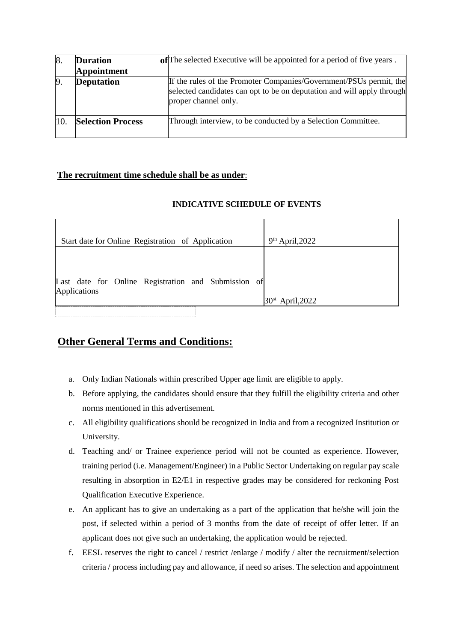| 18. | <b>Duration</b>          | of The selected Executive will be appointed for a period of five years.                                                                                              |
|-----|--------------------------|----------------------------------------------------------------------------------------------------------------------------------------------------------------------|
|     | <b>Appointment</b>       |                                                                                                                                                                      |
|     | <b>Deputation</b>        | If the rules of the Promoter Companies/Government/PSUs permit, the<br>selected candidates can opt to be on deputation and will apply through<br>proper channel only. |
|     | <b>Selection Process</b> | Through interview, to be conducted by a Selection Committee.                                                                                                         |

### **The recruitment time schedule shall be as under**:

### **INDICATIVE SCHEDULE OF EVENTS**

| Start date for Online Registration of Application                   | $9th$ April, 2022  |
|---------------------------------------------------------------------|--------------------|
| Last date for Online Registration and Submission of<br>Applications |                    |
|                                                                     | $30st$ April, 2022 |

# **Other General Terms and Conditions:**

- a. Only Indian Nationals within prescribed Upper age limit are eligible to apply.
- b. Before applying, the candidates should ensure that they fulfill the eligibility criteria and other norms mentioned in this advertisement.
- c. All eligibility qualifications should be recognized in India and from a recognized Institution or University.
- d. Teaching and/ or Trainee experience period will not be counted as experience. However, training period (i.e. Management/Engineer) in a Public Sector Undertaking on regular pay scale resulting in absorption in E2/E1 in respective grades may be considered for reckoning Post Qualification Executive Experience.
- e. An applicant has to give an undertaking as a part of the application that he/she will join the post, if selected within a period of 3 months from the date of receipt of offer letter. If an applicant does not give such an undertaking, the application would be rejected.
- f. EESL reserves the right to cancel / restrict /enlarge / modify / alter the recruitment/selection criteria / process including pay and allowance, if need so arises. The selection and appointment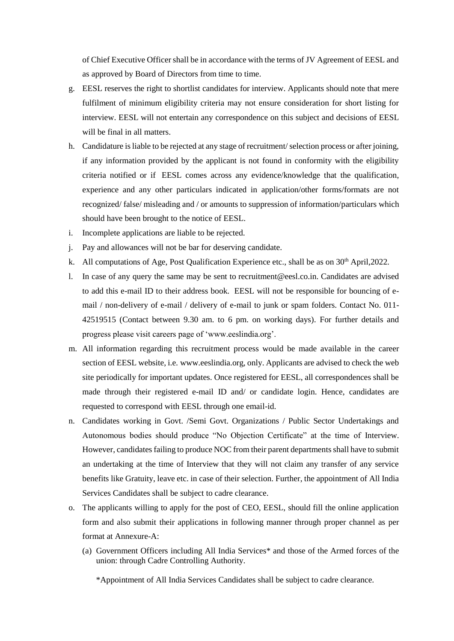of Chief Executive Officer shall be in accordance with the terms of JV Agreement of EESL and as approved by Board of Directors from time to time.

- g. EESL reserves the right to shortlist candidates for interview. Applicants should note that mere fulfilment of minimum eligibility criteria may not ensure consideration for short listing for interview. EESL will not entertain any correspondence on this subject and decisions of EESL will be final in all matters.
- h. Candidature is liable to be rejected at any stage of recruitment/ selection process or after joining, if any information provided by the applicant is not found in conformity with the eligibility criteria notified or if EESL comes across any evidence/knowledge that the qualification, experience and any other particulars indicated in application/other forms/formats are not recognized/ false/ misleading and / or amounts to suppression of information/particulars which should have been brought to the notice of EESL.
- i. Incomplete applications are liable to be rejected.
- j. Pay and allowances will not be bar for deserving candidate.
- k. All computations of Age, Post Qualification Experience etc., shall be as on  $30<sup>th</sup>$  April, 2022.
- l. In case of any query the same may be sent to recruitment@eesl.co.in. Candidates are advised to add this e-mail ID to their address book. EESL will not be responsible for bouncing of email / non-delivery of e-mail / delivery of e-mail to junk or spam folders. Contact No. 011- 42519515 (Contact between 9.30 am. to 6 pm. on working days). For further details and progress please visit careers page of 'www.eeslindia.org'.
- m. All information regarding this recruitment process would be made available in the career section of EESL website, i.e. www.eeslindia.org, only. Applicants are advised to check the web site periodically for important updates. Once registered for EESL, all correspondences shall be made through their registered e-mail ID and/ or candidate login. Hence, candidates are requested to correspond with EESL through one email-id.
- n. Candidates working in Govt. /Semi Govt. Organizations / Public Sector Undertakings and Autonomous bodies should produce "No Objection Certificate" at the time of Interview. However, candidates failing to produce NOC from their parent departments shall have to submit an undertaking at the time of Interview that they will not claim any transfer of any service benefits like Gratuity, leave etc. in case of their selection. Further, the appointment of All India Services Candidates shall be subject to cadre clearance.
- o. The applicants willing to apply for the post of CEO, EESL, should fill the online application form and also submit their applications in following manner through proper channel as per format at Annexure-A:
	- (a) Government Officers including All India Services\* and those of the Armed forces of the union: through Cadre Controlling Authority.

\*Appointment of All India Services Candidates shall be subject to cadre clearance.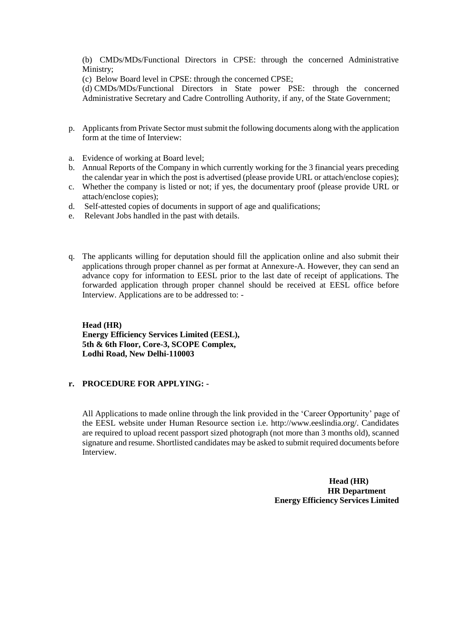(b) CMDs/MDs/Functional Directors in CPSE: through the concerned Administrative Ministry;

(c) Below Board level in CPSE: through the concerned CPSE;

(d) CMDs/MDs/Functional Directors in State power PSE: through the concerned Administrative Secretary and Cadre Controlling Authority, if any, of the State Government;

- p. Applicants from Private Sector must submit the following documents along with the application form at the time of Interview:
- a. Evidence of working at Board level;
- b. Annual Reports of the Company in which currently working for the 3 financial years preceding the calendar year in which the post is advertised (please provide URL or attach/enclose copies);
- c. Whether the company is listed or not; if yes, the documentary proof (please provide URL or attach/enclose copies);
- d. Self-attested copies of documents in support of age and qualifications;
- e. Relevant Jobs handled in the past with details.
- q. The applicants willing for deputation should fill the application online and also submit their applications through proper channel as per format at Annexure-A. However, they can send an advance copy for information to EESL prior to the last date of receipt of applications. The forwarded application through proper channel should be received at EESL office before Interview. Applications are to be addressed to: -

**Head (HR) Energy Efficiency Services Limited (EESL), 5th & 6th Floor, Core-3, SCOPE Complex, Lodhi Road, New Delhi-110003**

#### **r. PROCEDURE FOR APPLYING: -**

All Applications to made online through the link provided in the 'Career Opportunity' page of the EESL website under Human Resource section i.e. http://www.eeslindia.org/. Candidates are required to upload recent passport sized photograph (not more than 3 months old), scanned signature and resume. Shortlisted candidates may be asked to submit required documents before Interview.

> **Head (HR) HR Department Energy Efficiency Services Limited**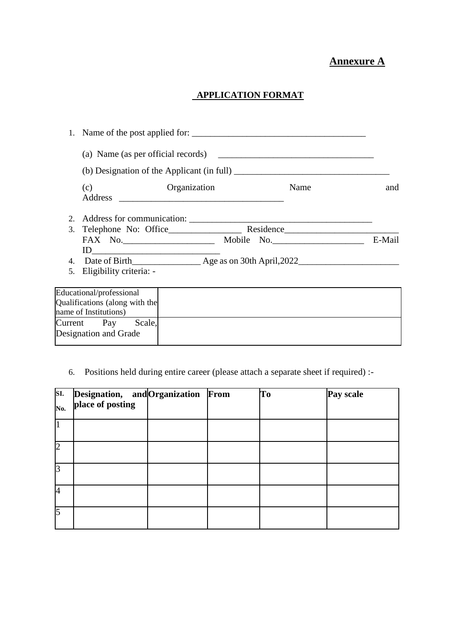# **Annexure A**

### **APPLICATION FORMAT**

|                                                                                                                                                                                   | 1. Name of the post applied for:                                                                                                                                                                                                                                                                                                                                                           |      |        |
|-----------------------------------------------------------------------------------------------------------------------------------------------------------------------------------|--------------------------------------------------------------------------------------------------------------------------------------------------------------------------------------------------------------------------------------------------------------------------------------------------------------------------------------------------------------------------------------------|------|--------|
|                                                                                                                                                                                   |                                                                                                                                                                                                                                                                                                                                                                                            |      |        |
|                                                                                                                                                                                   | (b) Designation of the Applicant (in full) $\frac{1}{\sqrt{1-\frac{1}{\sqrt{1-\frac{1}{\sqrt{1-\frac{1}{\sqrt{1-\frac{1}{\sqrt{1-\frac{1}{\sqrt{1-\frac{1}{\sqrt{1-\frac{1}{\sqrt{1-\frac{1}{\sqrt{1-\frac{1}{\sqrt{1-\frac{1}{\sqrt{1-\frac{1}{\sqrt{1-\frac{1}{\sqrt{1-\frac{1}{\sqrt{1-\frac{1}{\sqrt{1-\frac{1}{\sqrt{1-\frac{1}{\sqrt{1-\frac{1}{\sqrt{1-\frac{1}{\sqrt{1-\frac{1}{\$ |      |        |
| (c)                                                                                                                                                                               | Organization                                                                                                                                                                                                                                                                                                                                                                               | Name | and    |
|                                                                                                                                                                                   |                                                                                                                                                                                                                                                                                                                                                                                            |      |        |
|                                                                                                                                                                                   |                                                                                                                                                                                                                                                                                                                                                                                            |      |        |
|                                                                                                                                                                                   | FAX No. Mobile No. Mobile No.                                                                                                                                                                                                                                                                                                                                                              |      | E-Mail |
| $\begin{tabular}{ c c c c } \hline \quad \quad & \quad \quad & \quad \quad & \quad \quad \\ \hline \quad \quad & \quad \quad & \quad \quad & \quad \quad \\ \hline \end{tabular}$ |                                                                                                                                                                                                                                                                                                                                                                                            |      |        |
|                                                                                                                                                                                   |                                                                                                                                                                                                                                                                                                                                                                                            |      |        |
| 5. Eligibility criteria: -                                                                                                                                                        |                                                                                                                                                                                                                                                                                                                                                                                            |      |        |
| Educational/professional                                                                                                                                                          |                                                                                                                                                                                                                                                                                                                                                                                            |      |        |
| Qualifications (along with the                                                                                                                                                    |                                                                                                                                                                                                                                                                                                                                                                                            |      |        |
| name of Institutions)                                                                                                                                                             |                                                                                                                                                                                                                                                                                                                                                                                            |      |        |
| Current Pay Scale,                                                                                                                                                                |                                                                                                                                                                                                                                                                                                                                                                                            |      |        |
| Designation and Grade                                                                                                                                                             |                                                                                                                                                                                                                                                                                                                                                                                            |      |        |

# 6. Positions held during entire career (please attach a separate sheet if required) :-

| SI.            | Designation, and Organization From |  | To | Pay scale |
|----------------|------------------------------------|--|----|-----------|
| No.            | place of posting                   |  |    |           |
|                |                                    |  |    |           |
| $\overline{2}$ |                                    |  |    |           |
| 3              |                                    |  |    |           |
| 4              |                                    |  |    |           |
| 5              |                                    |  |    |           |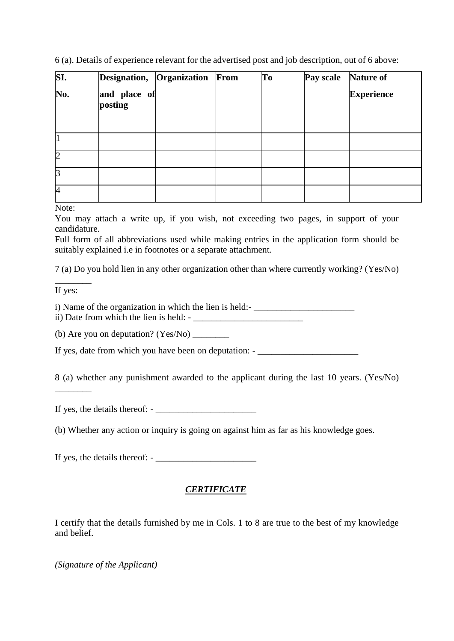6 (a). Details of experience relevant for the advertised post and job description, out of 6 above:

| SI.            | Designation, Organization | From | To | Pay scale | <b>Nature of</b>  |
|----------------|---------------------------|------|----|-----------|-------------------|
| No.            | and place of<br>posting   |      |    |           | <b>Experience</b> |
|                |                           |      |    |           |                   |
| $\overline{2}$ |                           |      |    |           |                   |
| 3              |                           |      |    |           |                   |
| 4              |                           |      |    |           |                   |

Note:

You may attach a write up, if you wish, not exceeding two pages, in support of your candidature.

Full form of all abbreviations used while making entries in the application form should be suitably explained i.e in footnotes or a separate attachment.

7 (a) Do you hold lien in any other organization other than where currently working? (Yes/No)

 $\overline{\phantom{a}}$ If yes:

 $\overline{\phantom{a}}$ 

i) Name of the organization in which the lien is held:

ii) Date from which the lien is held: -

(b) Are you on deputation? (Yes/No)

If yes, date from which you have been on deputation: - \_\_\_\_\_\_\_\_\_\_\_\_\_\_\_\_\_\_\_\_\_\_\_\_\_\_

8 (a) whether any punishment awarded to the applicant during the last 10 years. (Yes/No)

If yes, the details thereof:  $-\frac{1}{2}$ 

(b) Whether any action or inquiry is going on against him as far as his knowledge goes.

If yes, the details thereof: - \_\_\_\_\_\_\_\_\_\_\_\_\_\_\_\_\_\_\_\_\_\_

### *CERTIFICATE*

I certify that the details furnished by me in Cols. 1 to 8 are true to the best of my knowledge and belief.

*(Signature of the Applicant)*